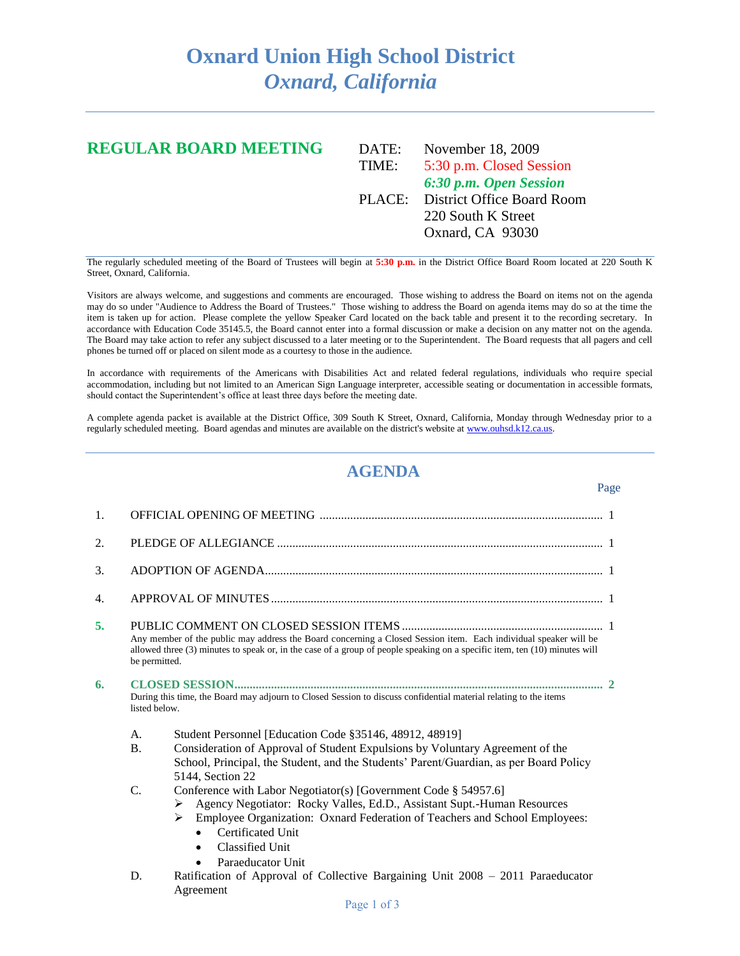## **Oxnard Union High School District** *Oxnard, California*

## **REGULAR BOARD MEETING** DATE: November 18, 2009 TIME: 5:30 p.m. Closed Session *6:30 p.m. Open Session* PLACE: District Office Board Room 220 South K Street Oxnard, CA 93030

The regularly scheduled meeting of the Board of Trustees will begin at **5:30 p.m.** in the District Office Board Room located at 220 South K Street, Oxnard, California.

Visitors are always welcome, and suggestions and comments are encouraged. Those wishing to address the Board on items not on the agenda may do so under "Audience to Address the Board of Trustees." Those wishing to address the Board on agenda items may do so at the time the item is taken up for action. Please complete the yellow Speaker Card located on the back table and present it to the recording secretary. In accordance with Education Code 35145.5, the Board cannot enter into a formal discussion or make a decision on any matter not on the agenda. The Board may take action to refer any subject discussed to a later meeting or to the Superintendent. The Board requests that all pagers and cell phones be turned off or placed on silent mode as a courtesy to those in the audience.

In accordance with requirements of the Americans with Disabilities Act and related federal regulations, individuals who require special accommodation, including but not limited to an American Sign Language interpreter, accessible seating or documentation in accessible formats, should contact the Superintendent's office at least three days before the meeting date.

A complete agenda packet is available at the District Office, 309 South K Street, Oxnard, California, Monday through Wednesday prior to a regularly scheduled meeting. Board agendas and minutes are available on the district's website a[t www.ouhsd.k12.ca.us.](http://www.ouhsd.k12.ca.us/)

## **AGENDA**

| 1.               |                                                                                                                                                                                                                                                                 |                                                                                                                                                                                                                                                                                                         |  |
|------------------|-----------------------------------------------------------------------------------------------------------------------------------------------------------------------------------------------------------------------------------------------------------------|---------------------------------------------------------------------------------------------------------------------------------------------------------------------------------------------------------------------------------------------------------------------------------------------------------|--|
| 2.               |                                                                                                                                                                                                                                                                 |                                                                                                                                                                                                                                                                                                         |  |
| 3.               |                                                                                                                                                                                                                                                                 |                                                                                                                                                                                                                                                                                                         |  |
| $\overline{4}$ . |                                                                                                                                                                                                                                                                 |                                                                                                                                                                                                                                                                                                         |  |
| 5.               | Any member of the public may address the Board concerning a Closed Session item. Each individual speaker will be<br>allowed three (3) minutes to speak or, in the case of a group of people speaking on a specific item, ten (10) minutes will<br>be permitted. |                                                                                                                                                                                                                                                                                                         |  |
| 6.               | During this time, the Board may adjourn to Closed Session to discuss confidential material relating to the items<br>listed below.                                                                                                                               |                                                                                                                                                                                                                                                                                                         |  |
|                  | A.                                                                                                                                                                                                                                                              | Student Personnel [Education Code §35146, 48912, 48919]                                                                                                                                                                                                                                                 |  |
|                  | <b>B.</b>                                                                                                                                                                                                                                                       | Consideration of Approval of Student Expulsions by Voluntary Agreement of the<br>School, Principal, the Student, and the Students' Parent/Guardian, as per Board Policy<br>5144, Section 22                                                                                                             |  |
|                  | C.                                                                                                                                                                                                                                                              | Conference with Labor Negotiator(s) [Government Code § 54957.6]<br>Agency Negotiator: Rocky Valles, Ed.D., Assistant Supt.-Human Resources<br>Employee Organization: Oxnard Federation of Teachers and School Employees:<br>≻<br>Certificated Unit<br>Classified Unit<br>$\bullet$<br>Paraeducator Unit |  |
|                  | D.                                                                                                                                                                                                                                                              | Ratification of Approval of Collective Bargaining Unit 2008 - 2011 Paraeducator<br>Agreement                                                                                                                                                                                                            |  |

## Page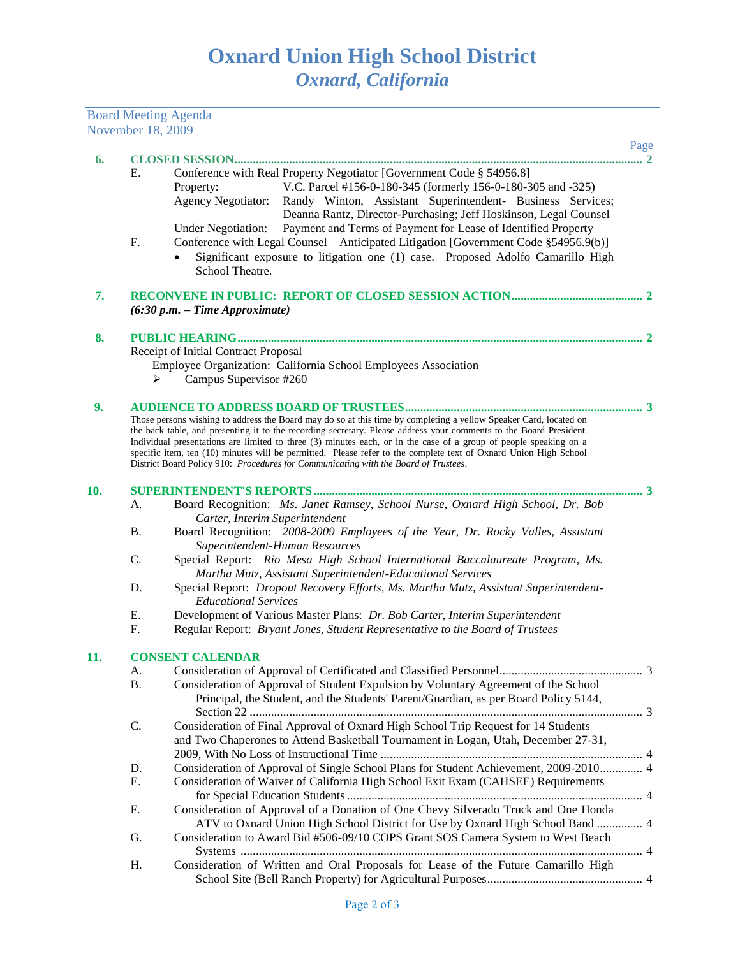Board Meeting Agenda

|     | November 18, 2009       |                                                                                                                                                                                                                                                                                                                                                                                                                                                                                                                                                                         |  |  |  |  |
|-----|-------------------------|-------------------------------------------------------------------------------------------------------------------------------------------------------------------------------------------------------------------------------------------------------------------------------------------------------------------------------------------------------------------------------------------------------------------------------------------------------------------------------------------------------------------------------------------------------------------------|--|--|--|--|
| 6.  |                         | Page<br><b>CLOSED SESSION</b><br>2                                                                                                                                                                                                                                                                                                                                                                                                                                                                                                                                      |  |  |  |  |
|     | Е.                      | Conference with Real Property Negotiator [Government Code § 54956.8]<br>V.C. Parcel #156-0-180-345 (formerly 156-0-180-305 and -325)<br>Property:<br><b>Agency Negotiator:</b><br>Randy Winton, Assistant Superintendent- Business Services;<br>Deanna Rantz, Director-Purchasing; Jeff Hoskinson, Legal Counsel                                                                                                                                                                                                                                                        |  |  |  |  |
|     | F.                      | Payment and Terms of Payment for Lease of Identified Property<br><b>Under Negotiation:</b><br>Conference with Legal Counsel - Anticipated Litigation [Government Code §54956.9(b)]<br>Significant exposure to litigation one (1) case. Proposed Adolfo Camarillo High<br>School Theatre.                                                                                                                                                                                                                                                                                |  |  |  |  |
| 7.  |                         | $(6:30 p.m. - Time Approximate)$                                                                                                                                                                                                                                                                                                                                                                                                                                                                                                                                        |  |  |  |  |
| 8.  |                         |                                                                                                                                                                                                                                                                                                                                                                                                                                                                                                                                                                         |  |  |  |  |
|     |                         | Receipt of Initial Contract Proposal                                                                                                                                                                                                                                                                                                                                                                                                                                                                                                                                    |  |  |  |  |
|     |                         | Employee Organization: California School Employees Association                                                                                                                                                                                                                                                                                                                                                                                                                                                                                                          |  |  |  |  |
|     |                         | Campus Supervisor #260                                                                                                                                                                                                                                                                                                                                                                                                                                                                                                                                                  |  |  |  |  |
| 9.  |                         |                                                                                                                                                                                                                                                                                                                                                                                                                                                                                                                                                                         |  |  |  |  |
|     |                         | Those persons wishing to address the Board may do so at this time by completing a yellow Speaker Card, located on<br>the back table, and presenting it to the recording secretary. Please address your comments to the Board President.<br>Individual presentations are limited to three (3) minutes each, or in the case of a group of people speaking on a<br>specific item, ten (10) minutes will be permitted. Please refer to the complete text of Oxnard Union High School<br>District Board Policy 910: Procedures for Communicating with the Board of Trustees. |  |  |  |  |
| 10. |                         |                                                                                                                                                                                                                                                                                                                                                                                                                                                                                                                                                                         |  |  |  |  |
|     | A.                      | Board Recognition: Ms. Janet Ramsey, School Nurse, Oxnard High School, Dr. Bob<br>Carter, Interim Superintendent                                                                                                                                                                                                                                                                                                                                                                                                                                                        |  |  |  |  |
|     | Β.                      | Board Recognition: 2008-2009 Employees of the Year, Dr. Rocky Valles, Assistant<br>Superintendent-Human Resources                                                                                                                                                                                                                                                                                                                                                                                                                                                       |  |  |  |  |
|     | C.                      | Special Report: Rio Mesa High School International Baccalaureate Program, Ms.<br>Martha Mutz, Assistant Superintendent-Educational Services                                                                                                                                                                                                                                                                                                                                                                                                                             |  |  |  |  |
|     | D.                      | Special Report: Dropout Recovery Efforts, Ms. Martha Mutz, Assistant Superintendent-<br><b>Educational Services</b>                                                                                                                                                                                                                                                                                                                                                                                                                                                     |  |  |  |  |
|     | Ε.                      | Development of Various Master Plans: Dr. Bob Carter, Interim Superintendent                                                                                                                                                                                                                                                                                                                                                                                                                                                                                             |  |  |  |  |
|     | F.                      | Regular Report: Bryant Jones, Student Representative to the Board of Trustees                                                                                                                                                                                                                                                                                                                                                                                                                                                                                           |  |  |  |  |
| 11. | <b>CONSENT CALENDAR</b> |                                                                                                                                                                                                                                                                                                                                                                                                                                                                                                                                                                         |  |  |  |  |
|     | A.                      |                                                                                                                                                                                                                                                                                                                                                                                                                                                                                                                                                                         |  |  |  |  |
|     | <b>B.</b>               | Consideration of Approval of Student Expulsion by Voluntary Agreement of the School<br>Principal, the Student, and the Students' Parent/Guardian, as per Board Policy 5144,                                                                                                                                                                                                                                                                                                                                                                                             |  |  |  |  |
|     | C.                      | Consideration of Final Approval of Oxnard High School Trip Request for 14 Students<br>and Two Chaperones to Attend Basketball Tournament in Logan, Utah, December 27-31,                                                                                                                                                                                                                                                                                                                                                                                                |  |  |  |  |
|     | D.                      | Consideration of Approval of Single School Plans for Student Achievement, 2009-2010 4                                                                                                                                                                                                                                                                                                                                                                                                                                                                                   |  |  |  |  |
|     | Ε.                      | Consideration of Waiver of California High School Exit Exam (CAHSEE) Requirements                                                                                                                                                                                                                                                                                                                                                                                                                                                                                       |  |  |  |  |
|     | F.                      | Consideration of Approval of a Donation of One Chevy Silverado Truck and One Honda<br>ATV to Oxnard Union High School District for Use by Oxnard High School Band  4                                                                                                                                                                                                                                                                                                                                                                                                    |  |  |  |  |
|     | G.                      | Consideration to Award Bid #506-09/10 COPS Grant SOS Camera System to West Beach                                                                                                                                                                                                                                                                                                                                                                                                                                                                                        |  |  |  |  |
|     | Η.                      | Consideration of Written and Oral Proposals for Lease of the Future Camarillo High                                                                                                                                                                                                                                                                                                                                                                                                                                                                                      |  |  |  |  |
|     |                         |                                                                                                                                                                                                                                                                                                                                                                                                                                                                                                                                                                         |  |  |  |  |